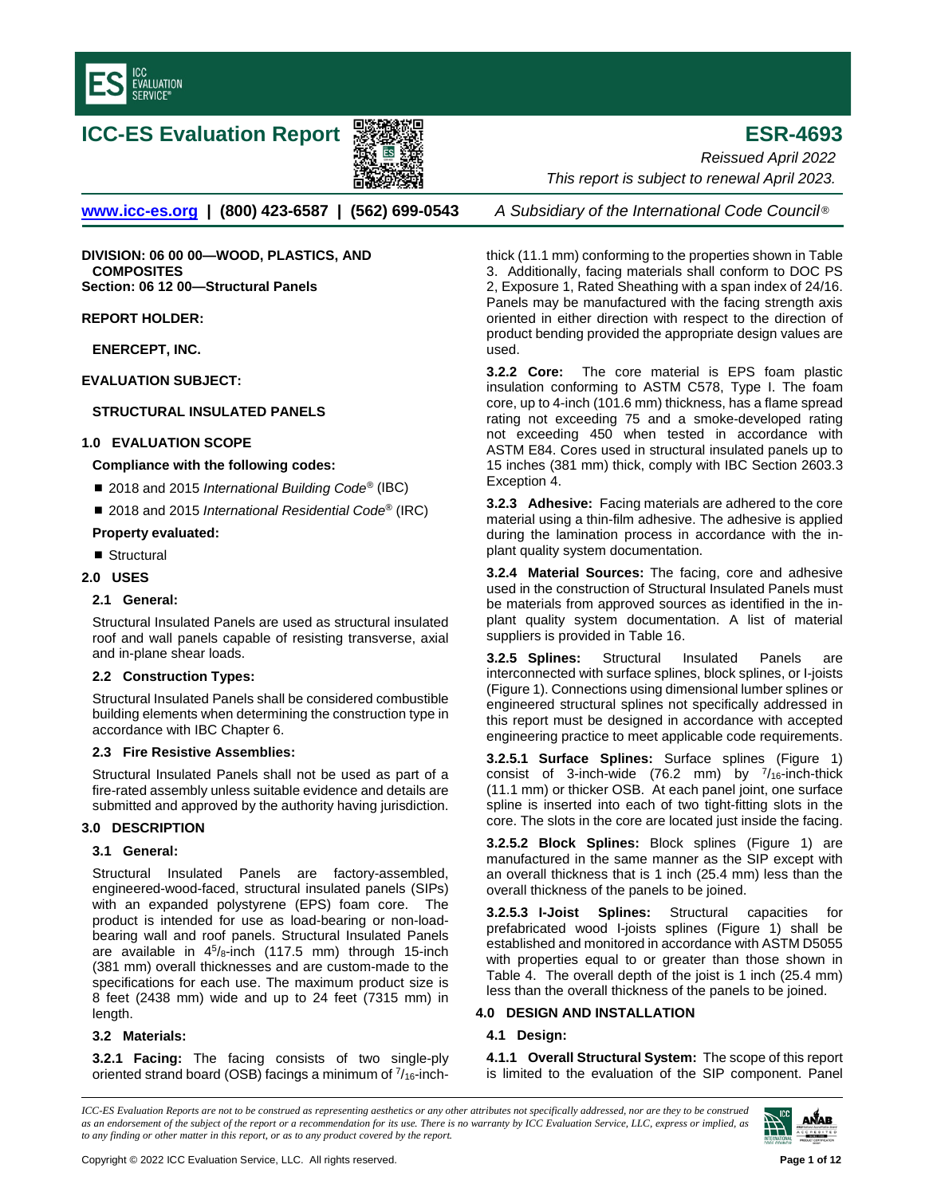

# **ICC-ES Evaluation Report ESR-4693**



**[www.icc-es.org](http://www.icc-es.org/) | (800) 423-6587 | (562) 699-0543** *A Subsidiary of the International Code Council* ®

**DIVISION: 06 00 00—WOOD, PLASTICS, AND COMPOSITES Section: 06 12 00—Structural Panels**

**REPORT HOLDER:**

**ENERCEPT, INC.**

**EVALUATION SUBJECT:** 

# **STRUCTURAL INSULATED PANELS**

## **1.0 EVALUATION SCOPE**

## **Compliance with the following codes:**

- 2018 and 2015 *International Building Code<sup>®</sup>* (IBC)
- 2018 and 2015 *International Residential Code<sup>®</sup>* (IRC)

## **Property evaluated:**

■ Structural

# **2.0 USES**

# **2.1 General:**

Structural Insulated Panels are used as structural insulated roof and wall panels capable of resisting transverse, axial and in-plane shear loads.

# **2.2 Construction Types:**

Structural Insulated Panels shall be considered combustible building elements when determining the construction type in accordance with IBC Chapter 6.

#### **2.3 Fire Resistive Assemblies:**

Structural Insulated Panels shall not be used as part of a fire-rated assembly unless suitable evidence and details are submitted and approved by the authority having jurisdiction.

#### **3.0 DESCRIPTION**

# **3.1 General:**

Structural Insulated Panels are factory-assembled, engineered-wood-faced, structural insulated panels (SIPs) with an expanded polystyrene (EPS) foam core. The product is intended for use as load-bearing or non-loadbearing wall and roof panels. Structural Insulated Panels are available in  $4^5$ /8-inch (117.5 mm) through 15-inch (381 mm) overall thicknesses and are custom-made to the specifications for each use. The maximum product size is 8 feet (2438 mm) wide and up to 24 feet (7315 mm) in length.

# **3.2 Materials:**

**3.2.1 Facing:** The facing consists of two single-ply oriented strand board (OSB) facings a minimum of  $\frac{7}{16}$ -inch-

*Reissued April 2022 This report is subject to renewal April 2023.* 

thick (11.1 mm) conforming to the properties shown in Table 3. Additionally, facing materials shall conform to DOC PS 2, Exposure 1, Rated Sheathing with a span index of 24/16. Panels may be manufactured with the facing strength axis oriented in either direction with respect to the direction of product bending provided the appropriate design values are used.

**3.2.2 Core:** The core material is EPS foam plastic insulation conforming to ASTM C578, Type I. The foam core, up to 4-inch (101.6 mm) thickness, has a flame spread rating not exceeding 75 and a smoke-developed rating not exceeding 450 when tested in accordance with ASTM E84. Cores used in structural insulated panels up to 15 inches (381 mm) thick, comply with IBC Section 2603.3 Exception 4.

**3.2.3 Adhesive:** Facing materials are adhered to the core material using a thin-film adhesive. The adhesive is applied during the lamination process in accordance with the inplant quality system documentation.

**3.2.4 Material Sources:** The facing, core and adhesive used in the construction of Structural Insulated Panels must be materials from approved sources as identified in the inplant quality system documentation. A list of material suppliers is provided in Table 16.

**3.2.5 Splines:** Structural Insulated Panels are interconnected with surface splines, block splines, or I-joists (Figure 1). Connections using dimensional lumber splines or engineered structural splines not specifically addressed in this report must be designed in accordance with accepted engineering practice to meet applicable code requirements.

**3.2.5.1 Surface Splines:** Surface splines (Figure 1) consist of 3-inch-wide (76.2 mm) by  $\frac{7}{16}$ -inch-thick (11.1 mm) or thicker OSB. At each panel joint, one surface spline is inserted into each of two tight-fitting slots in the core. The slots in the core are located just inside the facing.

**3.2.5.2 Block Splines:** Block splines (Figure 1) are manufactured in the same manner as the SIP except with an overall thickness that is 1 inch (25.4 mm) less than the overall thickness of the panels to be joined.

**3.2.5.3 I-Joist Splines:** Structural capacities for prefabricated wood I-joists splines (Figure 1) shall be established and monitored in accordance with ASTM D5055 with properties equal to or greater than those shown in Table 4. The overall depth of the joist is 1 inch (25.4 mm) less than the overall thickness of the panels to be joined.

# **4.0 DESIGN AND INSTALLATION**

# **4.1 Design:**

**4.1.1 Overall Structural System:** The scope of this report is limited to the evaluation of the SIP component. Panel

*ICC-ES Evaluation Reports are not to be construed as representing aesthetics or any other attributes not specifically addressed, nor are they to be construed as an endorsement of the subject of the report or a recommendation for its use. There is no warranty by ICC Evaluation Service, LLC, express or implied, as to any finding or other matter in this report, or as to any product covered by the report.*

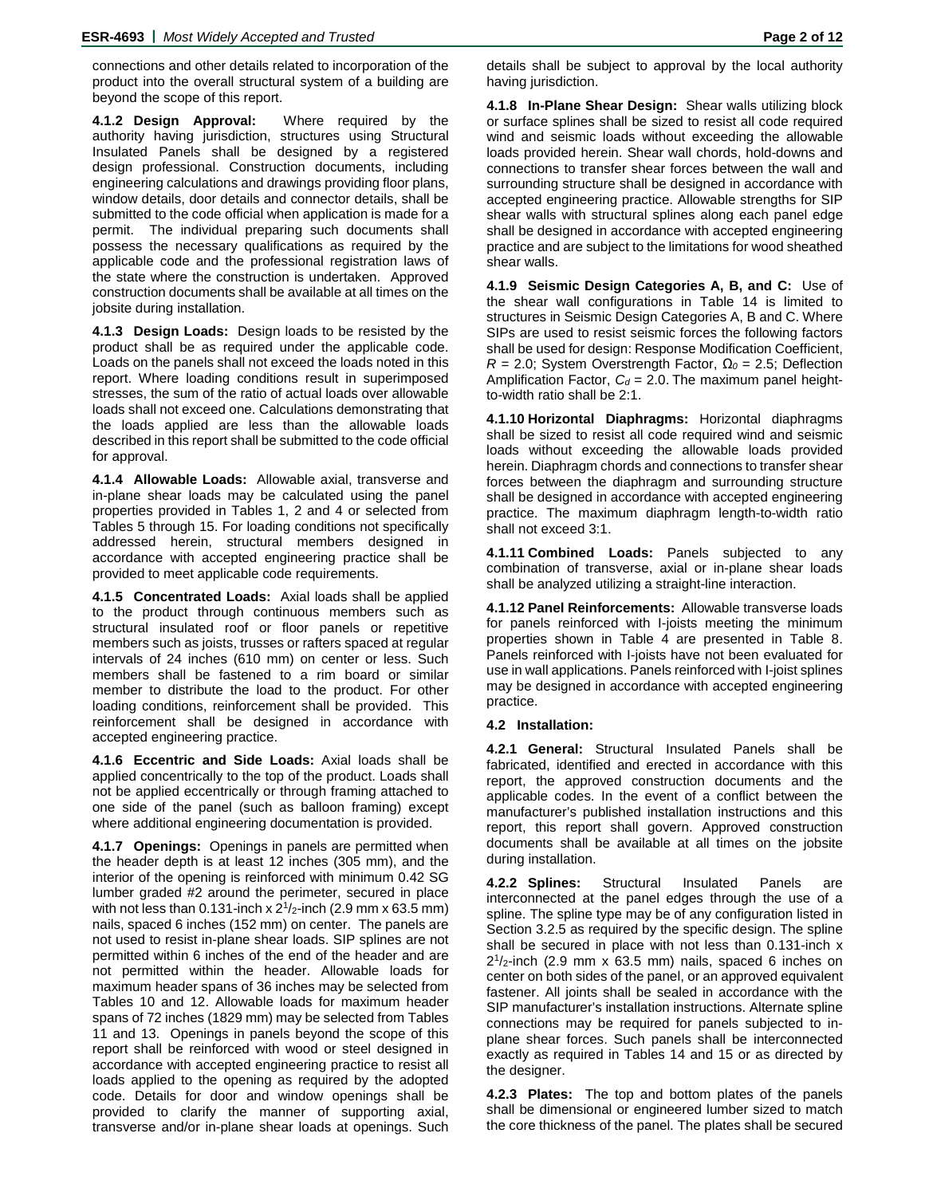connections and other details related to incorporation of the product into the overall structural system of a building are beyond the scope of this report.

**4.1.2 Design Approval:** Where required by the authority having jurisdiction, structures using Structural Insulated Panels shall be designed by a registered design professional. Construction documents, including engineering calculations and drawings providing floor plans, window details, door details and connector details, shall be submitted to the code official when application is made for a permit. The individual preparing such documents shall possess the necessary qualifications as required by the applicable code and the professional registration laws of the state where the construction is undertaken. Approved construction documents shall be available at all times on the jobsite during installation.

**4.1.3 Design Loads:** Design loads to be resisted by the product shall be as required under the applicable code. Loads on the panels shall not exceed the loads noted in this report. Where loading conditions result in superimposed stresses, the sum of the ratio of actual loads over allowable loads shall not exceed one. Calculations demonstrating that the loads applied are less than the allowable loads described in this report shall be submitted to the code official for approval.

**4.1.4 Allowable Loads:** Allowable axial, transverse and in-plane shear loads may be calculated using the panel properties provided in Tables 1, 2 and 4 or selected from Tables 5 through 15. For loading conditions not specifically addressed herein, structural members designed in accordance with accepted engineering practice shall be provided to meet applicable code requirements.

**4.1.5 Concentrated Loads:** Axial loads shall be applied to the product through continuous members such as structural insulated roof or floor panels or repetitive members such as joists, trusses or rafters spaced at regular intervals of 24 inches (610 mm) on center or less. Such members shall be fastened to a rim board or similar member to distribute the load to the product. For other loading conditions, reinforcement shall be provided. This reinforcement shall be designed in accordance with accepted engineering practice.

**4.1.6 Eccentric and Side Loads:** Axial loads shall be applied concentrically to the top of the product. Loads shall not be applied eccentrically or through framing attached to one side of the panel (such as balloon framing) except where additional engineering documentation is provided.

**4.1.7 Openings:** Openings in panels are permitted when the header depth is at least 12 inches (305 mm), and the interior of the opening is reinforced with minimum 0.42 SG lumber graded #2 around the perimeter, secured in place with not less than 0.131-inch x  $2^{1}/2$ -inch (2.9 mm x 63.5 mm) nails, spaced 6 inches (152 mm) on center. The panels are not used to resist in-plane shear loads. SIP splines are not permitted within 6 inches of the end of the header and are not permitted within the header. Allowable loads for maximum header spans of 36 inches may be selected from Tables 10 and 12. Allowable loads for maximum header spans of 72 inches (1829 mm) may be selected from Tables 11 and 13. Openings in panels beyond the scope of this report shall be reinforced with wood or steel designed in accordance with accepted engineering practice to resist all loads applied to the opening as required by the adopted code. Details for door and window openings shall be provided to clarify the manner of supporting axial, transverse and/or in-plane shear loads at openings. Such

**4.1.8 In-Plane Shear Design:** Shear walls utilizing block or surface splines shall be sized to resist all code required wind and seismic loads without exceeding the allowable loads provided herein. Shear wall chords, hold-downs and connections to transfer shear forces between the wall and surrounding structure shall be designed in accordance with accepted engineering practice. Allowable strengths for SIP shear walls with structural splines along each panel edge shall be designed in accordance with accepted engineering practice and are subject to the limitations for wood sheathed shear walls.

**4.1.9 Seismic Design Categories A, B, and C:** Use of the shear wall configurations in Table 14 is limited to structures in Seismic Design Categories A, B and C. Where SIPs are used to resist seismic forces the following factors shall be used for design: Response Modification Coefficient, *R* = 2.0; System Overstrength Factor, *Ω<sup>0</sup>* = 2.5; Deflection Amplification Factor,  $C_d = 2.0$ . The maximum panel heightto-width ratio shall be 2:1.

**4.1.10 Horizontal Diaphragms:** Horizontal diaphragms shall be sized to resist all code required wind and seismic loads without exceeding the allowable loads provided herein. Diaphragm chords and connections to transfer shear forces between the diaphragm and surrounding structure shall be designed in accordance with accepted engineering practice. The maximum diaphragm length-to-width ratio shall not exceed 3:1.

**4.1.11 Combined Loads:** Panels subjected to any combination of transverse, axial or in-plane shear loads shall be analyzed utilizing a straight-line interaction.

**4.1.12 Panel Reinforcements:** Allowable transverse loads for panels reinforced with I-joists meeting the minimum properties shown in Table 4 are presented in Table 8. Panels reinforced with I-joists have not been evaluated for use in wall applications. Panels reinforced with I-joist splines may be designed in accordance with accepted engineering practice.

#### **4.2 Installation:**

**4.2.1 General:** Structural Insulated Panels shall be fabricated, identified and erected in accordance with this report, the approved construction documents and the applicable codes. In the event of a conflict between the manufacturer's published installation instructions and this report, this report shall govern. Approved construction documents shall be available at all times on the jobsite during installation.

**4.2.2 Splines:** Structural Insulated Panels are interconnected at the panel edges through the use of a spline. The spline type may be of any configuration listed in Section 3.2.5 as required by the specific design. The spline shall be secured in place with not less than 0.131-inch x  $2^{1}/2$ -inch (2.9 mm x 63.5 mm) nails, spaced 6 inches on center on both sides of the panel, or an approved equivalent fastener. All joints shall be sealed in accordance with the SIP manufacturer's installation instructions. Alternate spline connections may be required for panels subjected to inplane shear forces. Such panels shall be interconnected exactly as required in Tables 14 and 15 or as directed by the designer.

**4.2.3 Plates:** The top and bottom plates of the panels shall be dimensional or engineered lumber sized to match the core thickness of the panel. The plates shall be secured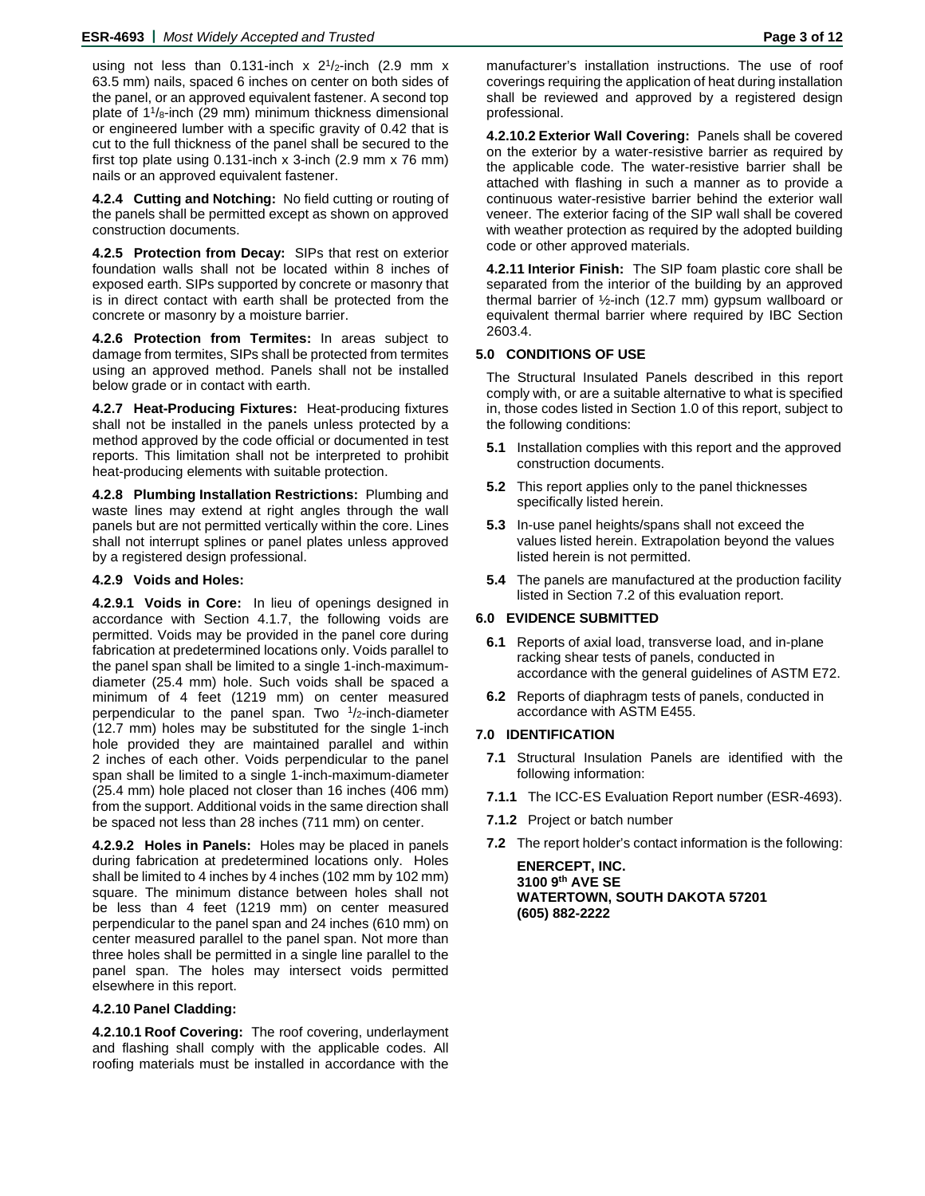using not less than 0.131-inch  $x$  2<sup>1</sup>/<sub>2</sub>-inch (2.9 mm  $x$ 63.5 mm) nails, spaced 6 inches on center on both sides of the panel, or an approved equivalent fastener. A second top plate of  $1\frac{1}{8}$ -inch (29 mm) minimum thickness dimensional or engineered lumber with a specific gravity of 0.42 that is cut to the full thickness of the panel shall be secured to the first top plate using  $0.131$ -inch x 3-inch  $(2.9 \text{ mm} \times 76 \text{ mm})$ nails or an approved equivalent fastener.

**4.2.4 Cutting and Notching:** No field cutting or routing of the panels shall be permitted except as shown on approved construction documents.

**4.2.5 Protection from Decay:** SIPs that rest on exterior foundation walls shall not be located within 8 inches of exposed earth. SIPs supported by concrete or masonry that is in direct contact with earth shall be protected from the concrete or masonry by a moisture barrier.

**4.2.6 Protection from Termites:** In areas subject to damage from termites, SIPs shall be protected from termites using an approved method. Panels shall not be installed below grade or in contact with earth.

**4.2.7 Heat-Producing Fixtures:** Heat-producing fixtures shall not be installed in the panels unless protected by a method approved by the code official or documented in test reports. This limitation shall not be interpreted to prohibit heat-producing elements with suitable protection.

**4.2.8 Plumbing Installation Restrictions:** Plumbing and waste lines may extend at right angles through the wall panels but are not permitted vertically within the core. Lines shall not interrupt splines or panel plates unless approved by a registered design professional.

#### **4.2.9 Voids and Holes:**

**4.2.9.1 Voids in Core:** In lieu of openings designed in accordance with Section 4.1.7, the following voids are permitted. Voids may be provided in the panel core during fabrication at predetermined locations only. Voids parallel to the panel span shall be limited to a single 1-inch-maximumdiameter (25.4 mm) hole. Such voids shall be spaced a minimum of 4 feet (1219 mm) on center measured perpendicular to the panel span. Two  $1/2$ -inch-diameter (12.7 mm) holes may be substituted for the single 1-inch hole provided they are maintained parallel and within 2 inches of each other. Voids perpendicular to the panel span shall be limited to a single 1-inch-maximum-diameter (25.4 mm) hole placed not closer than 16 inches (406 mm) from the support. Additional voids in the same direction shall be spaced not less than 28 inches (711 mm) on center.

**4.2.9.2 Holes in Panels:** Holes may be placed in panels during fabrication at predetermined locations only. Holes shall be limited to 4 inches by 4 inches (102 mm by 102 mm) square. The minimum distance between holes shall not be less than 4 feet (1219 mm) on center measured perpendicular to the panel span and 24 inches (610 mm) on center measured parallel to the panel span. Not more than three holes shall be permitted in a single line parallel to the panel span. The holes may intersect voids permitted elsewhere in this report.

#### **4.2.10 Panel Cladding:**

**4.2.10.1 Roof Covering:** The roof covering, underlayment and flashing shall comply with the applicable codes. All roofing materials must be installed in accordance with the

manufacturer's installation instructions. The use of roof coverings requiring the application of heat during installation shall be reviewed and approved by a registered design professional.

**4.2.10.2 Exterior Wall Covering:** Panels shall be covered on the exterior by a water-resistive barrier as required by the applicable code. The water-resistive barrier shall be attached with flashing in such a manner as to provide a continuous water-resistive barrier behind the exterior wall veneer. The exterior facing of the SIP wall shall be covered with weather protection as required by the adopted building code or other approved materials.

**4.2.11 Interior Finish:** The SIP foam plastic core shall be separated from the interior of the building by an approved thermal barrier of ½-inch (12.7 mm) gypsum wallboard or equivalent thermal barrier where required by IBC Section 2603.4.

#### **5.0 CONDITIONS OF USE**

The Structural Insulated Panels described in this report comply with, or are a suitable alternative to what is specified in, those codes listed in Section 1.0 of this report, subject to the following conditions:

- **5.1** Installation complies with this report and the approved construction documents.
- **5.2** This report applies only to the panel thicknesses specifically listed herein.
- **5.3** In-use panel heights/spans shall not exceed the values listed herein. Extrapolation beyond the values listed herein is not permitted.
- **5.4** The panels are manufactured at the production facility listed in Section 7.2 of this evaluation report.

## **6.0 EVIDENCE SUBMITTED**

- **6.1** Reports of axial load, transverse load, and in-plane racking shear tests of panels, conducted in accordance with the general guidelines of ASTM E72.
- **6.2** Reports of diaphragm tests of panels, conducted in accordance with ASTM E455.

#### **7.0 IDENTIFICATION**

- **7.1** Structural Insulation Panels are identified with the following information:
- **7.1.1** The ICC-ES Evaluation Report number (ESR-4693).
- **7.1.2** Project or batch number
- **7.2** The report holder's contact information is the following:

**ENERCEPT, INC. 3100 9th AVE SE WATERTOWN, SOUTH DAKOTA 57201 (605) 882-2222**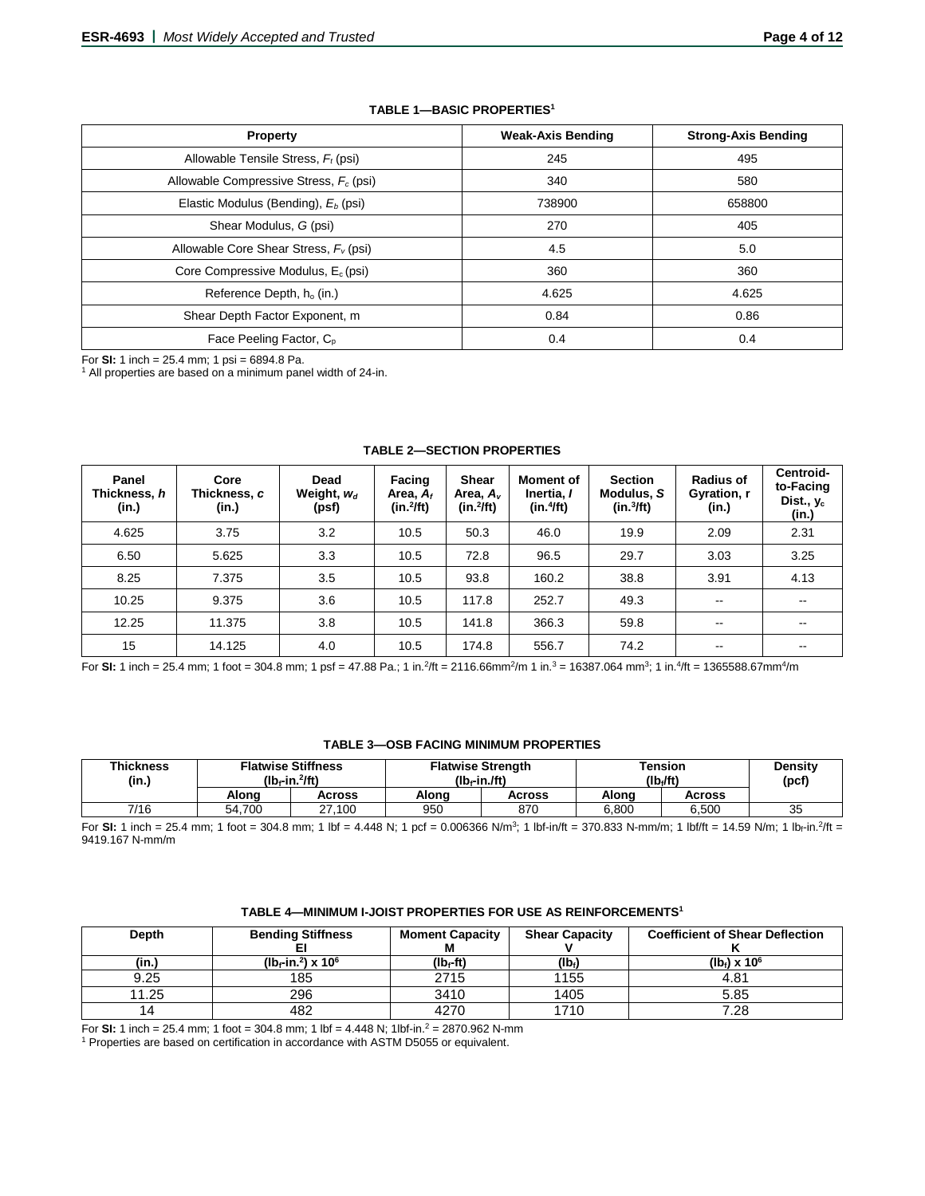# **TABLE 1—BASIC PROPERTIES1**

| <b>Property</b>                                 | <b>Weak-Axis Bending</b> | <b>Strong-Axis Bending</b> |
|-------------------------------------------------|--------------------------|----------------------------|
| Allowable Tensile Stress, $F_t$ (psi)           | 245                      | 495                        |
| Allowable Compressive Stress, $F_c$ (psi)       | 340                      | 580                        |
| Elastic Modulus (Bending), E <sub>b</sub> (psi) | 738900                   | 658800                     |
| Shear Modulus, G (psi)                          | 270                      | 405                        |
| Allowable Core Shear Stress, $F_v$ (psi)        | 4.5                      | 5.0                        |
| Core Compressive Modulus, $E_c$ (psi)           | 360                      | 360                        |
| Reference Depth, h <sub>o</sub> (in.)           | 4.625                    | 4.625                      |
| Shear Depth Factor Exponent, m                  | 0.84                     | 0.86                       |
| Face Peeling Factor, C <sub>p</sub>             | 0.4                      | 0.4                        |

For **SI:** 1 inch = 25.4 mm; 1 psi = 6894.8 Pa.<br><sup>1</sup> All properties are based on a minimum panel width of 24-in.

| Panel<br>Thickness, h<br>(in.) | Core<br>Thickness, c<br>(in.) | Dead<br>Weight, $w_d$<br>(psf) | Facing<br>Area, $A_f$<br>$(in.^2fft)$ | Shear<br>Area, A <sub>v</sub><br>$(in.^2/ft)$ | <b>Moment of</b><br>Inertia, I<br>(in.4ft) | <b>Section</b><br>Modulus, S<br>$(in.^3/ft)$ | <b>Radius of</b><br>Gyration, r<br>(in.) | Centroid-<br>to-Facing<br>Dist., $y_c$<br>(in.) |
|--------------------------------|-------------------------------|--------------------------------|---------------------------------------|-----------------------------------------------|--------------------------------------------|----------------------------------------------|------------------------------------------|-------------------------------------------------|
| 4.625                          | 3.75                          | 3.2                            | 10.5                                  | 50.3                                          | 46.0                                       | 19.9                                         | 2.09                                     | 2.31                                            |
| 6.50                           | 5.625                         | 3.3                            | 10.5                                  | 72.8                                          | 96.5                                       | 29.7                                         | 3.03                                     | 3.25                                            |
| 8.25                           | 7.375                         | 3.5                            | 10.5                                  | 93.8                                          | 160.2                                      | 38.8                                         | 3.91                                     | 4.13                                            |
| 10.25                          | 9.375                         | 3.6                            | 10.5                                  | 117.8                                         | 252.7                                      | 49.3                                         | $\overline{\phantom{a}}$                 | $- -$                                           |
| 12.25                          | 11.375                        | 3.8                            | 10.5                                  | 141.8                                         | 366.3                                      | 59.8                                         | $\sim$ $\sim$                            | --                                              |
| 15                             | 14.125                        | 4.0                            | 10.5                                  | 174.8                                         | 556.7                                      | 74.2                                         | $\overline{\phantom{m}}$                 |                                                 |

#### **TABLE 2—SECTION PROPERTIES**

For **SI:** 1 inch = 25.4 mm; 1 foot = 304.8 mm; 1 psf = 47.88 Pa.; 1 in.<sup>2</sup>/ft = 2116.66mm<sup>2</sup>/m 1 in.<sup>3</sup> = 16387.064 mm<sup>3</sup>; 1 in.<sup>4</sup>/ft = 1365588.67mm<sup>4</sup>/m

#### **TABLE 3—OSB FACING MINIMUM PROPERTIES**

| <b>Thickness</b><br>(in.) | <b>Flatwise Stiffness</b><br>$(Ib_f-in.^2$ ft) |        | $(Ib_f-in.ff)$ | <b>Flatwise Strength</b> | <b>Tension</b><br>(lb <sub>i</sub> /ft) | <b>Density</b><br>(pcf) |    |
|---------------------------|------------------------------------------------|--------|----------------|--------------------------|-----------------------------------------|-------------------------|----|
|                           | Alona                                          | Across | Alona          | Across                   | Alona                                   | <b>Across</b>           |    |
| 7/16                      | 54.700                                         | 27.100 | 950            | 870                      | 6.800                                   | 6.500                   | 35 |

For SI: 1 inch = 25.4 mm; 1 foot = 304.8 mm; 1 lbf = 4.448 N; 1 pcf = 0.006366 N/m<sup>3</sup>; 1 lbf-in/ft = 370.833 N-mm/m; 1 lbf/ft = 14.59 N/m; 1 lb<sub>f</sub>-in.<sup>2</sup>/ft = 9419.167 N-mm/m

| TABLE 4—MINIMUM I-JOIST PROPERTIES FOR USE AS REINFORCEMENTS' |  |  |
|---------------------------------------------------------------|--|--|
|---------------------------------------------------------------|--|--|

| Depth | <b>Bending Stiffness</b>                               | <b>Moment Capacity</b><br>М | <b>Shear Capacity</b> | <b>Coefficient of Shear Deflection</b> |
|-------|--------------------------------------------------------|-----------------------------|-----------------------|----------------------------------------|
| (in.) | (Ib <sub>r</sub> -in. <sup>2</sup> ) x 10 <sup>6</sup> | (lb <sub>f</sub> -ft)       | $(Ib_i)$              | $(lb) \times 10^6$                     |
| 9.25  | 185                                                    | 2715                        | 1155                  | 4.81                                   |
| 11.25 | 296                                                    | 3410                        | 1405                  | 5.85                                   |
| 14    | 482                                                    | 4270                        | 1710                  | 7.28                                   |

For **SI:** 1 inch = 25.4 mm; 1 foot = 304.8 mm; 1 lbf = 4.448 N; 1lbf-in.2 = 2870.962 N-mm

<sup>1</sup> Properties are based on certification in accordance with ASTM D5055 or equivalent.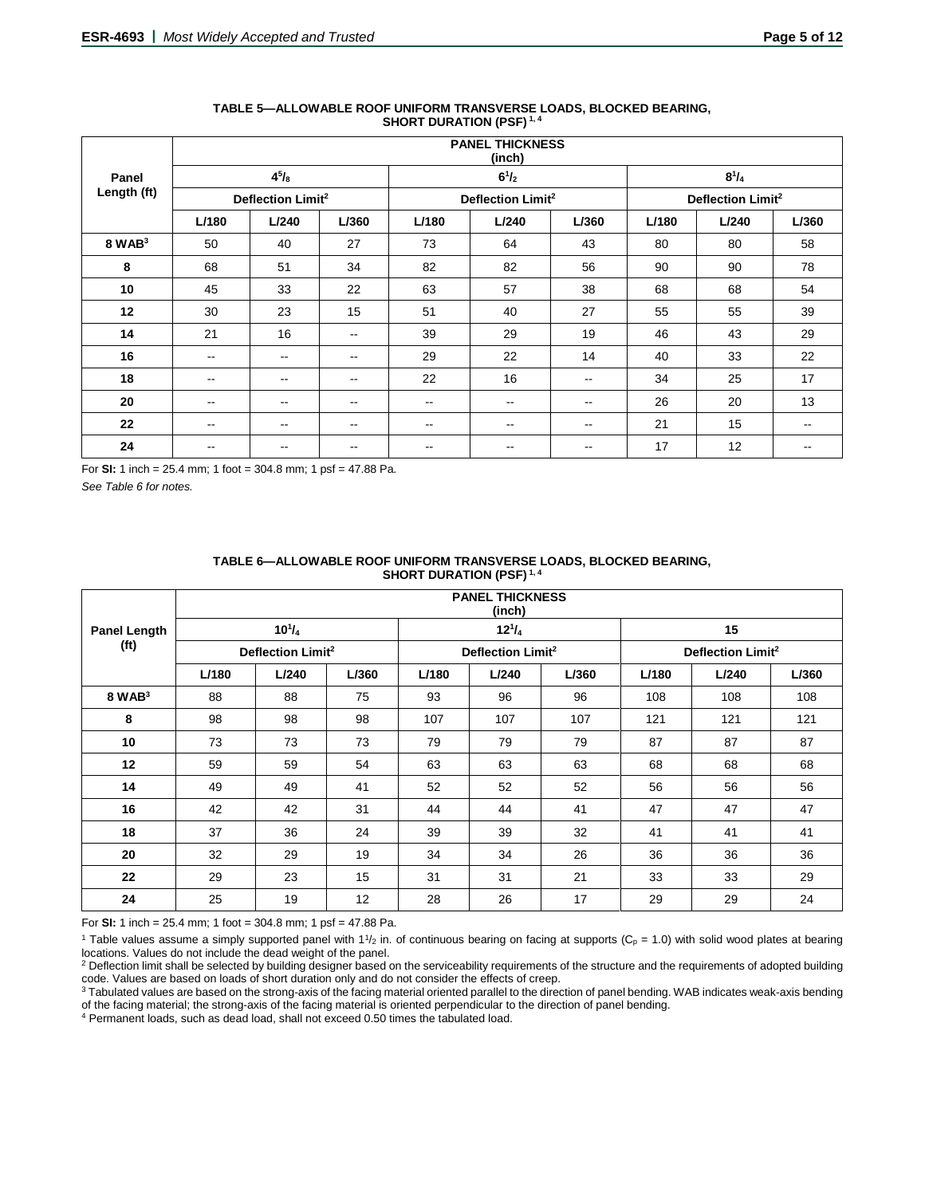|             |                               | <b>PANEL THICKNESS</b><br>(inch) |                          |       |                               |                          |       |                               |                          |  |  |  |  |  |
|-------------|-------------------------------|----------------------------------|--------------------------|-------|-------------------------------|--------------------------|-------|-------------------------------|--------------------------|--|--|--|--|--|
| Panel       |                               | $4^{5}/_{8}$                     |                          |       | $6^{1}/_{2}$                  |                          |       | $8^{1}/_{4}$                  |                          |  |  |  |  |  |
| Length (ft) | Deflection Limit <sup>2</sup> |                                  |                          |       | Deflection Limit <sup>2</sup> |                          |       | Deflection Limit <sup>2</sup> |                          |  |  |  |  |  |
|             | L/180                         | L/240                            | L/360                    | L/180 | L/240                         | L/360                    | L/180 | L/240                         | L/360                    |  |  |  |  |  |
| $8$ WAB $3$ | 50                            | 40                               | 27                       | 73    | 64                            | 43                       | 80    | 80                            | 58                       |  |  |  |  |  |
| 8           | 68                            | 51                               | 34                       | 82    | 82                            | 56                       | 90    | 90                            | 78                       |  |  |  |  |  |
| 10          | 45                            | 33                               | 22                       | 63    | 57                            | 38                       | 68    | 68                            | 54                       |  |  |  |  |  |
| 12          | 30                            | 23                               | 15                       | 51    | 40                            | 27                       | 55    | 55                            | 39                       |  |  |  |  |  |
| 14          | 21                            | 16                               | $\overline{\phantom{m}}$ | 39    | 29                            | 19                       | 46    | 43                            | 29                       |  |  |  |  |  |
| 16          | --                            | $- -$                            | --                       | 29    | 22                            | 14                       | 40    | 33                            | 22                       |  |  |  |  |  |
| 18          | $\sim$                        | $\overline{\phantom{m}}$         | $\sim$ $\sim$            | 22    | 16                            | $- -$                    | 34    | 25                            | 17                       |  |  |  |  |  |
| 20          | $-$                           | $\overline{\phantom{a}}$         | $\sim$ $\sim$            | $- -$ | $\sim$ $\sim$                 | $- -$                    | 26    | 20                            | 13                       |  |  |  |  |  |
| $22 \,$     | --                            | $\overline{\phantom{a}}$         | $\overline{\phantom{m}}$ | --    | --                            | $\overline{\phantom{m}}$ | 21    | 15                            | $\overline{\phantom{a}}$ |  |  |  |  |  |
| 24          | $- -$                         | --                               | $\sim$ $\sim$            | --    | $- -$                         | $\sim$ $\sim$            | 17    | 12                            | $\overline{\phantom{m}}$ |  |  |  |  |  |

#### **TABLE 5—ALLOWABLE ROOF UNIFORM TRANSVERSE LOADS, BLOCKED BEARING, SHORT DURATION (PSF) 1, 4**

For **SI:** 1 inch = 25.4 mm; 1 foot = 304.8 mm; 1 psf = 47.88 Pa.

*See Table 6 for notes.*

|                     |       | <b>PANEL THICKNESS</b><br>(inch) |       |       |                               |       |       |                               |       |  |  |  |  |  |
|---------------------|-------|----------------------------------|-------|-------|-------------------------------|-------|-------|-------------------------------|-------|--|--|--|--|--|
| <b>Panel Length</b> |       | $10^{1}/_{4}$                    |       |       | $12^{1}/_{4}$                 |       |       | 15                            |       |  |  |  |  |  |
| (f <sup>t</sup> )   |       | Deflection Limit <sup>2</sup>    |       |       | Deflection Limit <sup>2</sup> |       |       | Deflection Limit <sup>2</sup> |       |  |  |  |  |  |
|                     | L/180 | L/240                            | L/360 | L/180 | L/240                         | L/360 | L/180 | L/240                         | L/360 |  |  |  |  |  |
| $8$ WAB $3$         | 88    | 88                               | 75    | 93    | 96                            | 96    | 108   | 108                           | 108   |  |  |  |  |  |
| 8                   | 98    | 98                               | 98    | 107   | 107                           | 107   | 121   | 121                           | 121   |  |  |  |  |  |
| 10                  | 73    | 73                               | 73    | 79    | 79                            | 79    | 87    | 87                            | 87    |  |  |  |  |  |
| 12                  | 59    | 59                               | 54    | 63    | 63                            | 63    | 68    | 68                            | 68    |  |  |  |  |  |
| 14                  | 49    | 49                               | 41    | 52    | 52                            | 52    | 56    | 56                            | 56    |  |  |  |  |  |
| 16                  | 42    | 42                               | 31    | 44    | 44                            | 41    | 47    | 47                            | 47    |  |  |  |  |  |
| 18                  | 37    | 36                               | 24    | 39    | 39                            | 32    | 41    | 41                            | 41    |  |  |  |  |  |
| 20                  | 32    | 29                               | 19    | 34    | 34                            | 26    | 36    | 36                            | 36    |  |  |  |  |  |
| 22                  | 29    | 23                               | 15    | 31    | 31                            | 21    | 33    | 33                            | 29    |  |  |  |  |  |
| 24                  | 25    | 19                               | 12    | 28    | 26                            | 17    | 29    | 29                            | 24    |  |  |  |  |  |

#### **TABLE 6—ALLOWABLE ROOF UNIFORM TRANSVERSE LOADS, BLOCKED BEARING, SHORT DURATION (PSF) 1, 4**

For **SI:** 1 inch = 25.4 mm; 1 foot = 304.8 mm; 1 psf = 47.88 Pa.

<sup>1</sup> Table values assume a simply supported panel with  $1\frac{1}{2}$  in. of continuous bearing on facing at supports (C<sub>p</sub> = 1.0) with solid wood plates at bearing locations. Values do not include the dead weight of the panel.

<sup>2</sup> Deflection limit shall be selected by building designer based on the serviceability requirements of the structure and the requirements of adopted building code. Values are based on loads of short duration only and do not consider the effects of creep.

<sup>3</sup> Tabulated values are based on the strong-axis of the facing material oriented parallel to the direction of panel bending. WAB indicates weak-axis bending of the facing material; the strong-axis of the facing material is oriented perpendicular to the direction of panel bending.

<sup>4</sup> Permanent loads, such as dead load, shall not exceed 0.50 times the tabulated load.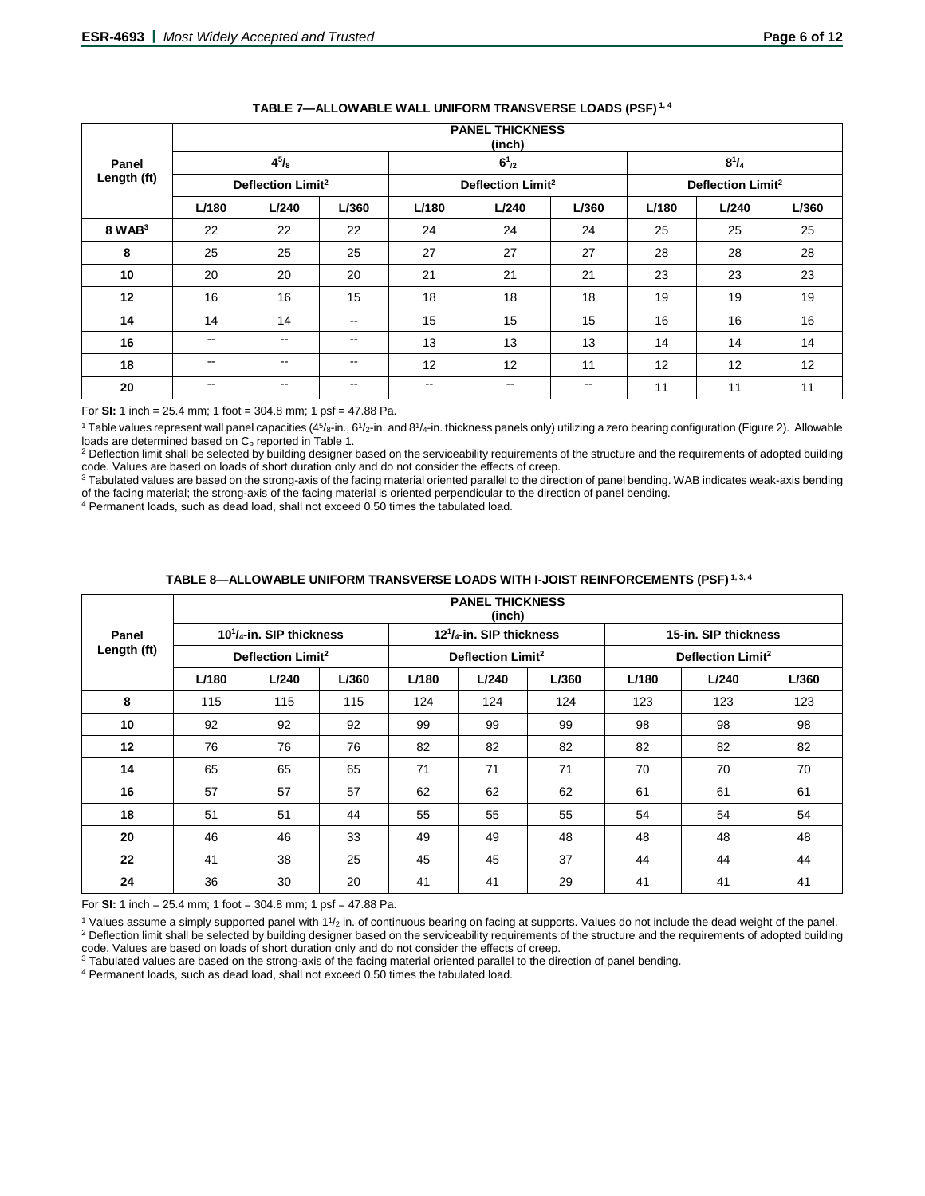|             | <b>PANEL THICKNESS</b><br>(inch) |                          |               |               |                               |            |       |                               |       |  |  |  |
|-------------|----------------------------------|--------------------------|---------------|---------------|-------------------------------|------------|-------|-------------------------------|-------|--|--|--|
| Panel       |                                  | $4^{5}/_{8}$             |               |               | $6^{1}_{2}$                   |            |       | $8^{1}/_{4}$                  |       |  |  |  |
| Length (ft) | Deflection Limit <sup>2</sup>    |                          |               |               | Deflection Limit <sup>2</sup> |            |       | Deflection Limit <sup>2</sup> |       |  |  |  |
|             | L/180                            | L/240                    | L/360         | L/180         | L/240                         | L/360      | L/180 | L/240                         | L/360 |  |  |  |
| $8$ WAB $3$ | 22                               | 22                       | 22            | 24            | 24                            | 24         | 25    | 25                            | 25    |  |  |  |
| 8           | 25                               | 25                       | 25            | 27            | 27                            | 27         | 28    | 28                            | 28    |  |  |  |
| 10          | 20                               | 20                       | 20            | 21            | 21                            | 21         | 23    | 23                            | 23    |  |  |  |
| 12          | 16                               | 16                       | 15            | 18            | 18                            | 18         | 19    | 19                            | 19    |  |  |  |
| 14          | 14                               | 14                       | $\sim$ $\sim$ | 15            | 15                            | 15         | 16    | 16                            | 16    |  |  |  |
| 16          | $\sim$ $\sim$                    | --                       | $\sim$        | 13            | 13                            | 13         | 14    | 14                            | 14    |  |  |  |
| 18          | $\sim$ $\sim$                    | $- -$                    | $\sim$ $\sim$ | 12            | 12                            | 11         | 12    | 12                            | 12    |  |  |  |
| 20          | $\sim$ $\sim$                    | $\overline{\phantom{m}}$ | $\sim$ $\sim$ | $\sim$ $\sim$ | $- -$                         | $\sim$ $-$ | 11    | 11                            | 11    |  |  |  |

# **TABLE 7—ALLOWABLE WALL UNIFORM TRANSVERSE LOADS (PSF) 1, 4**

For **SI:** 1 inch = 25.4 mm; 1 foot = 304.8 mm; 1 psf = 47.88 Pa.

<sup>1</sup> Table values represent wall panel capacities (4<sup>5</sup>/8-in., 6<sup>1</sup>/2-in. and 8<sup>1</sup>/4-in. thickness panels only) utilizing a zero bearing configuration (Figure 2). Allowable

loads are determined based on C<sub>p</sub> reported in Table 1.<br><sup>2</sup> Deflection limit shall be selected by building designer based on the serviceability requirements of the structure and the requirements of adopted building code. Values are based on loads of short duration only and do not consider the effects of creep.

<sup>3</sup> Tabulated values are based on the strong-axis of the facing material oriented parallel to the direction of panel bending. WAB indicates weak-axis bending of the facing material; the strong-axis of the facing material is oriented perpendicular to the direction of panel bending.

<sup>4</sup> Permanent loads, such as dead load, shall not exceed 0.50 times the tabulated load.

# **TABLE 8—ALLOWABLE UNIFORM TRANSVERSE LOADS WITH I-JOIST REINFORCEMENTS (PSF) 1, 3, 4**

|       |                                              | <b>PANEL THICKNESS</b><br>(inch) |       |       |                                  |       |       |                               |       |  |  |  |  |  |
|-------|----------------------------------------------|----------------------------------|-------|-------|----------------------------------|-------|-------|-------------------------------|-------|--|--|--|--|--|
| Panel |                                              | $10^{1}/_{4}$ -in. SIP thickness |       |       | $12^{1}/_{4}$ -in. SIP thickness |       |       | 15-in. SIP thickness          |       |  |  |  |  |  |
|       | Length (ft)<br>Deflection Limit <sup>2</sup> |                                  |       |       | Deflection Limit <sup>2</sup>    |       |       | Deflection Limit <sup>2</sup> |       |  |  |  |  |  |
|       | L/180                                        | L/240                            | L/360 | L/180 | L/240                            | L/360 | L/180 | L/240                         | L/360 |  |  |  |  |  |
| 8     | 115                                          | 115                              | 115   | 124   | 124                              | 124   | 123   | 123                           | 123   |  |  |  |  |  |
| 10    | 92                                           | 92                               | 92    | 99    | 99                               | 99    | 98    | 98                            | 98    |  |  |  |  |  |
| 12    | 76                                           | 76                               | 76    | 82    | 82                               | 82    | 82    | 82                            | 82    |  |  |  |  |  |
| 14    | 65                                           | 65                               | 65    | 71    | 71                               | 71    | 70    | 70                            | 70    |  |  |  |  |  |
| 16    | 57                                           | 57                               | 57    | 62    | 62                               | 62    | 61    | 61                            | 61    |  |  |  |  |  |
| 18    | 51                                           | 51                               | 44    | 55    | 55                               | 55    | 54    | 54                            | 54    |  |  |  |  |  |
| 20    | 46                                           | 46                               | 33    | 49    | 49                               | 48    | 48    | 48                            | 48    |  |  |  |  |  |
| 22    | 41                                           | 38                               | 25    | 45    | 45                               | 37    | 44    | 44                            | 44    |  |  |  |  |  |
| 24    | 36                                           | 30                               | 20    | 41    | 41                               | 29    | 41    | 41                            | 41    |  |  |  |  |  |

For **SI:** 1 inch = 25.4 mm; 1 foot = 304.8 mm; 1 psf = 47.88 Pa.

 $1$  Values assume a simply supported panel with  $11/2$  in. of continuous bearing on facing at supports. Values do not include the dead weight of the panel. <sup>2</sup> Deflection limit shall be selected by building designer based on the serviceability requirements of the structure and the requirements of adopted building code. Values are based on loads of short duration only and do not consider the effects of creep.

<sup>3</sup> Tabulated values are based on the strong-axis of the facing material oriented parallel to the direction of panel bending.

<sup>4</sup> Permanent loads, such as dead load, shall not exceed 0.50 times the tabulated load.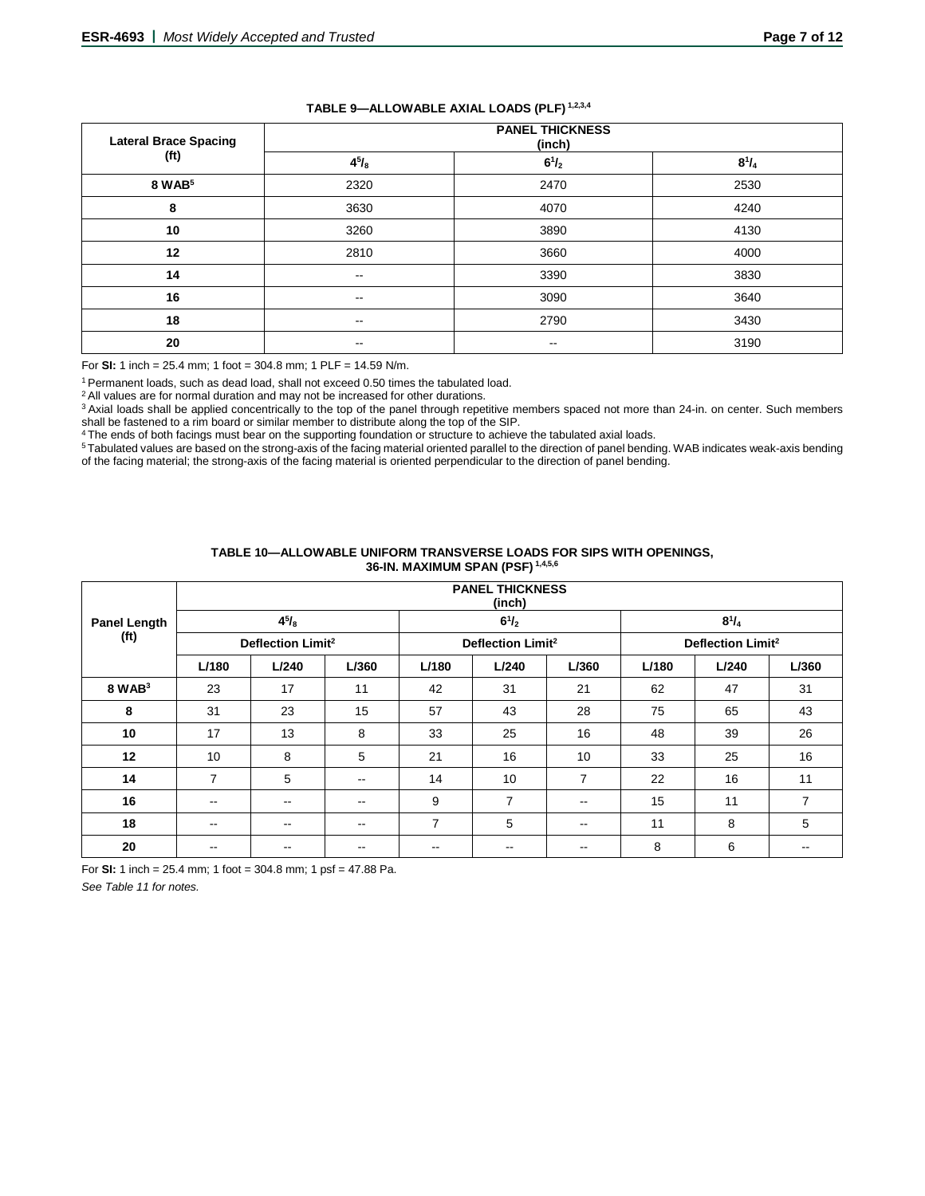| <b>Lateral Brace Spacing</b> | <b>PANEL THICKNESS</b><br>(inch) |              |              |  |  |  |  |  |
|------------------------------|----------------------------------|--------------|--------------|--|--|--|--|--|
| (f <sup>t</sup> )            | $4^{5}/_{8}$                     | $6^{1}/_{2}$ | $8^{1}/_{4}$ |  |  |  |  |  |
| 8 WAB <sup>5</sup>           | 2320                             | 2470         | 2530         |  |  |  |  |  |
| 8                            | 3630                             | 4070         | 4240         |  |  |  |  |  |
| 10                           | 3260                             | 3890         | 4130         |  |  |  |  |  |
| 12                           | 2810                             | 3660         | 4000         |  |  |  |  |  |
| 14                           | $\sim$                           | 3390         | 3830         |  |  |  |  |  |
| 16                           | $\sim$                           | 3090         | 3640         |  |  |  |  |  |
| 18                           | $\sim$                           | 2790         | 3430         |  |  |  |  |  |
| 20                           | $\sim$                           | $- -$        | 3190         |  |  |  |  |  |

# **TABLE 9—ALLOWABLE AXIAL LOADS (PLF) 1,2,3,4**

For **SI:** 1 inch = 25.4 mm; 1 foot = 304.8 mm; 1 PLF = 14.59 N/m.

1 Permanent loads, such as dead load, shall not exceed 0.50 times the tabulated load.

<sup>2</sup> All values are for normal duration and may not be increased for other durations.

<sup>3</sup> Axial loads shall be applied concentrically to the top of the panel through repetitive members spaced not more than 24-in. on center. Such members shall be fastened to a rim board or similar member to distribute along the top of the SIP.

<sup>4</sup> The ends of both facings must bear on the supporting foundation or structure to achieve the tabulated axial loads.

<sup>5</sup> Tabulated values are based on the strong-axis of the facing material oriented parallel to the direction of panel bending. WAB indicates weak-axis bending of the facing material; the strong-axis of the facing material is oriented perpendicular to the direction of panel bending.

|                     |               | <b>PANEL THICKNESS</b><br>(inch) |               |                |                               |                |       |                               |       |  |  |  |  |
|---------------------|---------------|----------------------------------|---------------|----------------|-------------------------------|----------------|-------|-------------------------------|-------|--|--|--|--|
| <b>Panel Length</b> |               | $4^{5}/_{8}$                     |               |                | $6^{1}/_{2}$                  |                |       | $8^{1}/_{4}$                  |       |  |  |  |  |
| (f <sup>t</sup> )   |               | Deflection Limit <sup>2</sup>    |               |                | Deflection Limit <sup>2</sup> |                |       | Deflection Limit <sup>2</sup> |       |  |  |  |  |
|                     | L/180         | L/240                            | L/360         | L/180          | L/240                         | L/360          | L/180 | L/240                         | L/360 |  |  |  |  |
| $8$ WAB $3$         | 23            | 17                               | 11            | 42             | 31                            | 21             | 62    | 47                            | 31    |  |  |  |  |
| 8                   | 31            | 23                               | 15            | 57             | 43                            | 28             | 75    | 65                            | 43    |  |  |  |  |
| 10                  | 17            | 13                               | 8             | 33             | 25                            | 16             | 48    | 39                            | 26    |  |  |  |  |
| 12                  | 10            | 8                                | 5             | 21             | 16                            | 10             | 33    | 25                            | 16    |  |  |  |  |
| 14                  | 7             | 5                                | $\sim$ $\sim$ | 14             | 10                            | $\overline{7}$ | 22    | 16                            | 11    |  |  |  |  |
| 16                  | $- -$         | $\sim$ $\sim$                    | $\sim$ $\sim$ | 9              | $\overline{7}$                | $- -$          | 15    | 11                            | 7     |  |  |  |  |
| 18                  | $\sim$ $\sim$ | $\sim$ $\sim$                    | $\sim$ $\sim$ | $\overline{7}$ | 5                             | $\sim$ $\sim$  | 11    | 8                             | 5     |  |  |  |  |
| 20                  | --            |                                  | --            | --             |                               | --             | 8     | 6                             |       |  |  |  |  |

#### **TABLE 10—ALLOWABLE UNIFORM TRANSVERSE LOADS FOR SIPS WITH OPENINGS, 36-IN. MAXIMUM SPAN (PSF) 1,4,5,6**

For **SI:** 1 inch = 25.4 mm; 1 foot = 304.8 mm; 1 psf = 47.88 Pa.

*See Table 11 for notes.*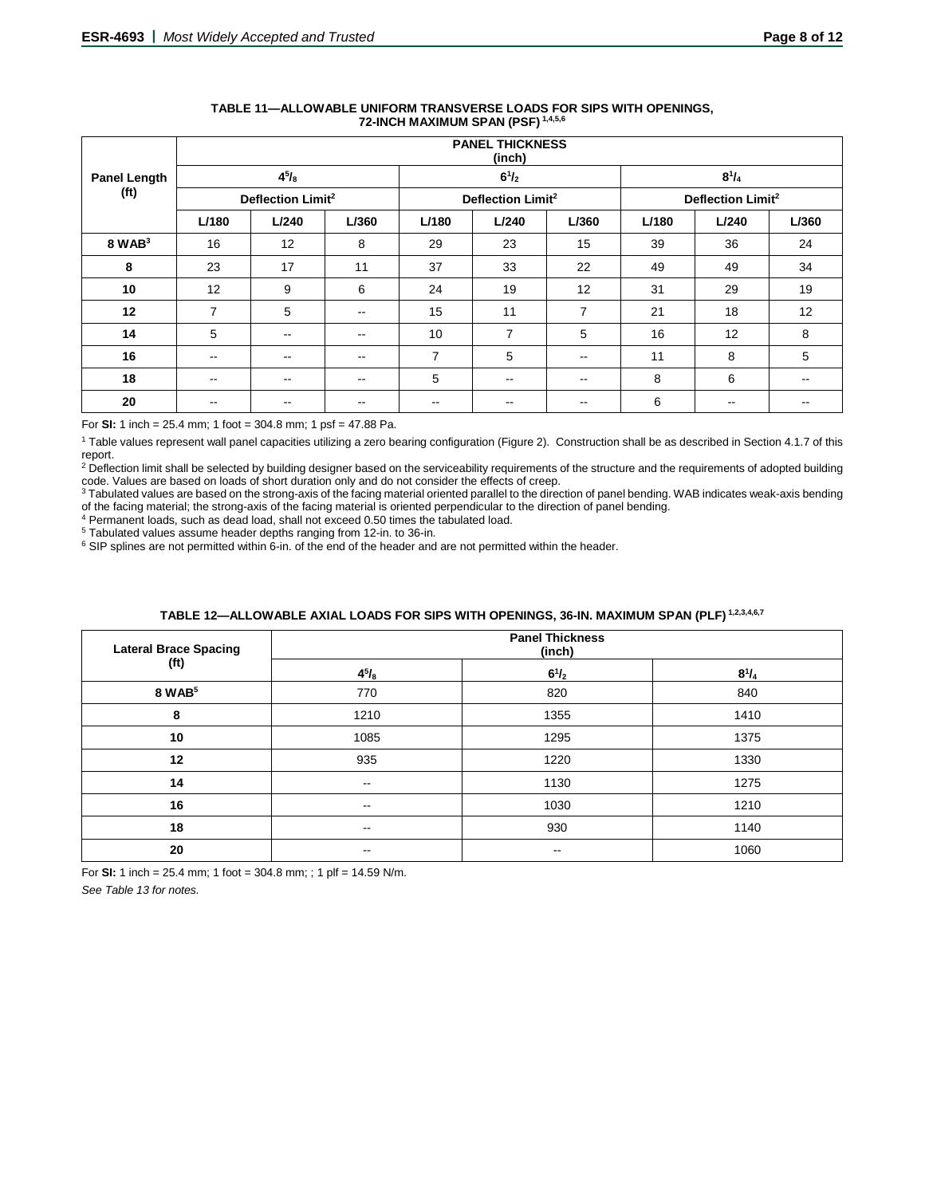|                     |                               | <b>PANEL THICKNESS</b><br>(inch) |               |                          |                               |                |       |                               |       |  |  |  |  |  |
|---------------------|-------------------------------|----------------------------------|---------------|--------------------------|-------------------------------|----------------|-------|-------------------------------|-------|--|--|--|--|--|
| <b>Panel Length</b> |                               | $4^{5}/_{8}$                     |               |                          | $6^{1}/_{2}$                  |                |       | $8^{1}/_{4}$                  |       |  |  |  |  |  |
| (ft)                | Deflection Limit <sup>2</sup> |                                  |               |                          | Deflection Limit <sup>2</sup> |                |       | Deflection Limit <sup>2</sup> |       |  |  |  |  |  |
|                     | L/180                         | L/240                            | L/360         | L/180                    | L/240                         | L/360          | L/180 | L/240                         | L/360 |  |  |  |  |  |
| $8$ WAB $3$         | 16                            | 12                               | 8             | 29                       | 23                            | 15             | 39    | 36                            | 24    |  |  |  |  |  |
| 8                   | 23                            | 17                               | 11            | 37                       | 33                            | 22             | 49    | 49                            | 34    |  |  |  |  |  |
| 10                  | 12                            | 9                                | 6             | 24                       | 19                            | 12             | 31    | 29                            | 19    |  |  |  |  |  |
| 12                  | 7                             | 5                                | $\sim$ $\sim$ | 15                       | 11                            | $\overline{7}$ | 21    | 18                            | 12    |  |  |  |  |  |
| 14                  | 5                             | $\overline{\phantom{m}}$         | $\sim$ $\sim$ | 10                       | $\overline{7}$                | 5              | 16    | 12                            | 8     |  |  |  |  |  |
| 16                  | $\overline{\phantom{a}}$      | $\overline{\phantom{m}}$         | $\sim$ $\sim$ | $\overline{7}$           | 5                             | $-$            | 11    | 8                             | 5     |  |  |  |  |  |
| 18                  | $\overline{\phantom{a}}$      | $\sim$ $\sim$                    | $\sim$ $\sim$ | 5                        | $\qquad \qquad -$             | $\sim$ $\sim$  | 8     | 6                             | --    |  |  |  |  |  |
| 20                  | --                            | $- -$                            | $- -$         | $\overline{\phantom{m}}$ | --                            | $\sim$ $\sim$  | 6     | $\overline{\phantom{m}}$      | --    |  |  |  |  |  |

#### **TABLE 11—ALLOWABLE UNIFORM TRANSVERSE LOADS FOR SIPS WITH OPENINGS, 72-INCH MAXIMUM SPAN (PSF) 1,4,5,6**

For **SI:** 1 inch = 25.4 mm; 1 foot = 304.8 mm; 1 psf = 47.88 Pa.

<sup>1</sup> Table values represent wall panel capacities utilizing a zero bearing configuration (Figure 2). Construction shall be as described in Section 4.1.7 of this report.

<sup>2</sup> Deflection limit shall be selected by building designer based on the serviceability requirements of the structure and the requirements of adopted building code. Values are based on loads of short duration only and do not consider the effects of creep.

<sup>3</sup> Tabulated values are based on the strong-axis of the facing material oriented parallel to the direction of panel bending. WAB indicates weak-axis bending of the facing material; the strong-axis of the facing material is oriented perpendicular to the direction of panel bending.

 $4$  Permanent loads, such as dead load, shall not exceed 0.50 times the tabulated load.<br> $5$  Tabulated values assume header depths ranging from 12-in. to 36-in.

 $6$  SIP splines are not permitted within 6-in. of the end of the header and are not permitted within the header.

# **TABLE 12—ALLOWABLE AXIAL LOADS FOR SIPS WITH OPENINGS, 36-IN. MAXIMUM SPAN (PLF) 1,2,3,4,6,7**

| <b>Lateral Brace Spacing</b><br>(f <sup>t</sup> ) | <b>Panel Thickness</b><br>(inch) |              |              |  |
|---------------------------------------------------|----------------------------------|--------------|--------------|--|
|                                                   | $4^{5}/_{8}$                     | $6^{1}/_{2}$ | $8^{1}/_{4}$ |  |
| 8 WAB <sup>5</sup>                                | 770                              | 820          | 840          |  |
| 8                                                 | 1210                             | 1355         | 1410         |  |
| 10                                                | 1085                             | 1295         | 1375         |  |
| 12                                                | 935                              | 1220         | 1330         |  |
| 14                                                | $\sim$ $\sim$                    | 1130         | 1275         |  |
| 16                                                | $\sim$ $\sim$                    | 1030         | 1210         |  |
| 18                                                | $\sim$ $\sim$                    | 930          | 1140         |  |
| 20                                                | $\sim$ $\sim$                    | $- -$        | 1060         |  |

For **SI:** 1 inch = 25.4 mm; 1 foot = 304.8 mm; ; 1 plf = 14.59 N/m.

*See Table 13 for notes.*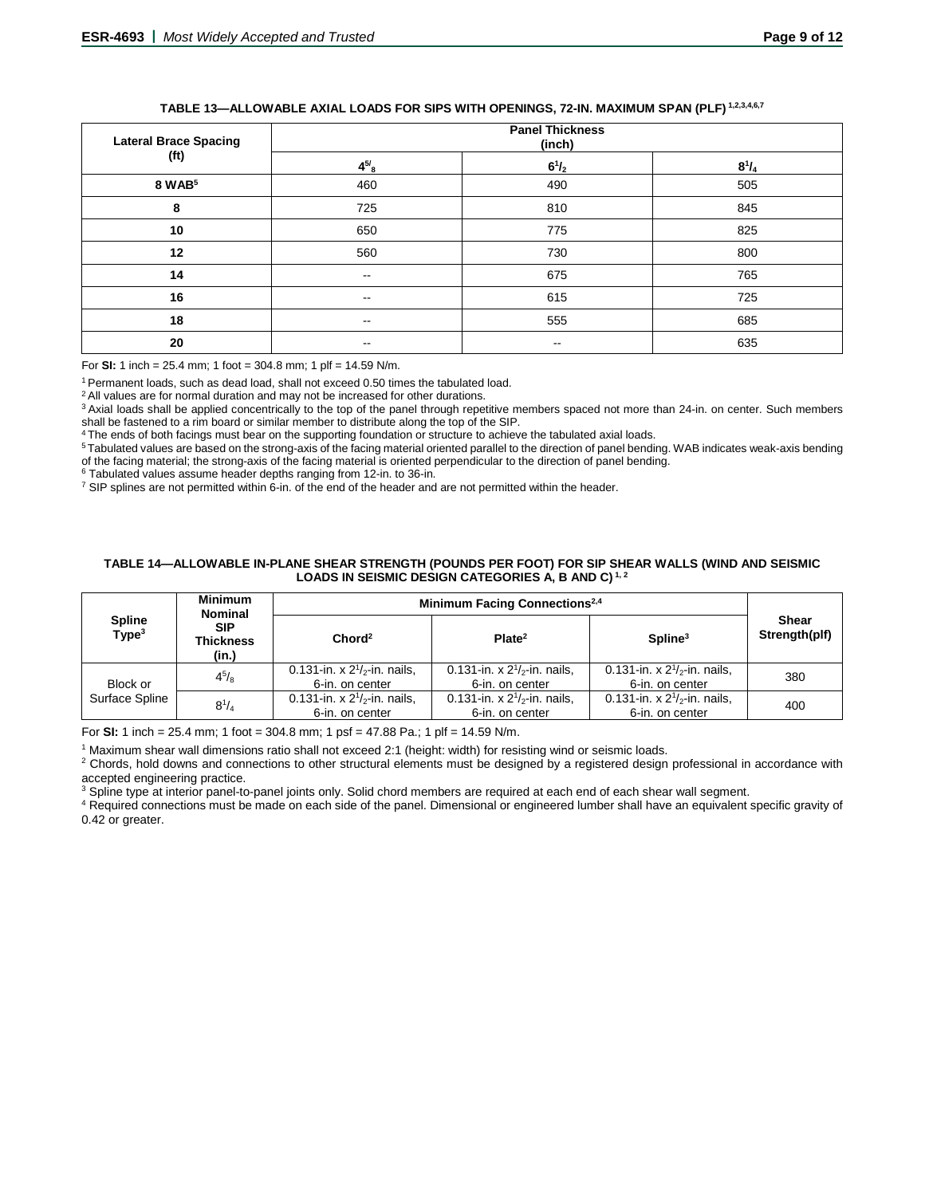# **TABLE 13—ALLOWABLE AXIAL LOADS FOR SIPS WITH OPENINGS, 72-IN. MAXIMUM SPAN (PLF) 1,2,3,4,6,7**

| <b>Lateral Brace Spacing</b><br>(f <sup>t</sup> ) | <b>Panel Thickness</b><br>(inch) |               |              |
|---------------------------------------------------|----------------------------------|---------------|--------------|
|                                                   | $4^{5/8}$                        | $6^{1}/_{2}$  | $8^{1}/_{4}$ |
| 8 WAB <sup>5</sup>                                | 460                              | 490           | 505          |
| 8                                                 | 725                              | 810           | 845          |
| 10                                                | 650                              | 775           | 825          |
| 12                                                | 560                              | 730           | 800          |
| 14                                                | $\sim$                           | 675           | 765          |
| 16                                                | $\sim$ $\sim$                    | 615           | 725          |
| 18                                                | $\sim$ $\sim$                    | 555           | 685          |
| 20                                                | --                               | $\sim$ $\sim$ | 635          |

For **SI:** 1 inch = 25.4 mm; 1 foot = 304.8 mm; 1 plf = 14.59 N/m.

1 Permanent loads, such as dead load, shall not exceed 0.50 times the tabulated load.

<sup>2</sup> All values are for normal duration and may not be increased for other durations.

<sup>3</sup> Axial loads shall be applied concentrically to the top of the panel through repetitive members spaced not more than 24-in. on center. Such members shall be fastened to a rim board or similar member to distribute along the top of the SIP.

4 The ends of both facings must bear on the supporting foundation or structure to achieve the tabulated axial loads.

5 Tabulated values are based on the strong-axis of the facing material oriented parallel to the direction of panel bending. WAB indicates weak-axis bending of the facing material; the strong-axis of the facing material is oriented perpendicular to the direction of panel bending.<br><sup>6</sup> Tabulated values assume header depths ranging from 12-in. to 36-in.

 $\frac{7}{1}$  SIP splines are not permitted within 6-in. of the end of the header and are not permitted within the header.

#### **TABLE 14—ALLOWABLE IN-PLANE SHEAR STRENGTH (POUNDS PER FOOT) FOR SIP SHEAR WALLS (WIND AND SEISMIC LOADS IN SEISMIC DESIGN CATEGORIES A, B AND C) 1, 2**

|                                    | <b>Minimum</b><br><b>Nominal</b> | Minimum Facing Connections <sup>2,4</sup>            |                                                      |                                                      |                        |
|------------------------------------|----------------------------------|------------------------------------------------------|------------------------------------------------------|------------------------------------------------------|------------------------|
| <b>Spline</b><br>Type <sup>3</sup> | <b>SIP</b><br>Thickness<br>(in.) | Chord <sup>2</sup>                                   | Plate <sup>2</sup>                                   | Spline <sup>3</sup>                                  | Shear<br>Strength(plf) |
| Block or                           | $4^{5}/_{8}$                     | 0.131-in. x $2^{1/2}$ -in. nails,<br>6-in. on center | 0.131-in. x $2^{1/2}$ -in. nails.<br>6-in. on center | 0.131-in. x $2^{1/2}$ -in. nails.<br>6-in. on center | 380                    |
| Surface Spline                     | $8^{1}/_{4}$                     | 0.131-in. x $2^{1/2}$ -in. nails,<br>6-in. on center | 0.131-in. x $2^{1/2}$ -in. nails,<br>6-in. on center | 0.131-in. x $2^{1/2}$ -in. nails,<br>6-in. on center | 400                    |

For **SI:** 1 inch = 25.4 mm; 1 foot = 304.8 mm; 1 psf = 47.88 Pa.; 1 plf = 14.59 N/m.

<sup>1</sup> Maximum shear wall dimensions ratio shall not exceed 2:1 (height: width) for resisting wind or seismic loads.

<sup>2</sup> Chords, hold downs and connections to other structural elements must be designed by a registered design professional in accordance with accepted engineering practice.

<sup>3</sup> Spline type at interior panel-to-panel joints only. Solid chord members are required at each end of each shear wall segment.

<sup>4</sup> Required connections must be made on each side of the panel. Dimensional or engineered lumber shall have an equivalent specific gravity of 0.42 or greater.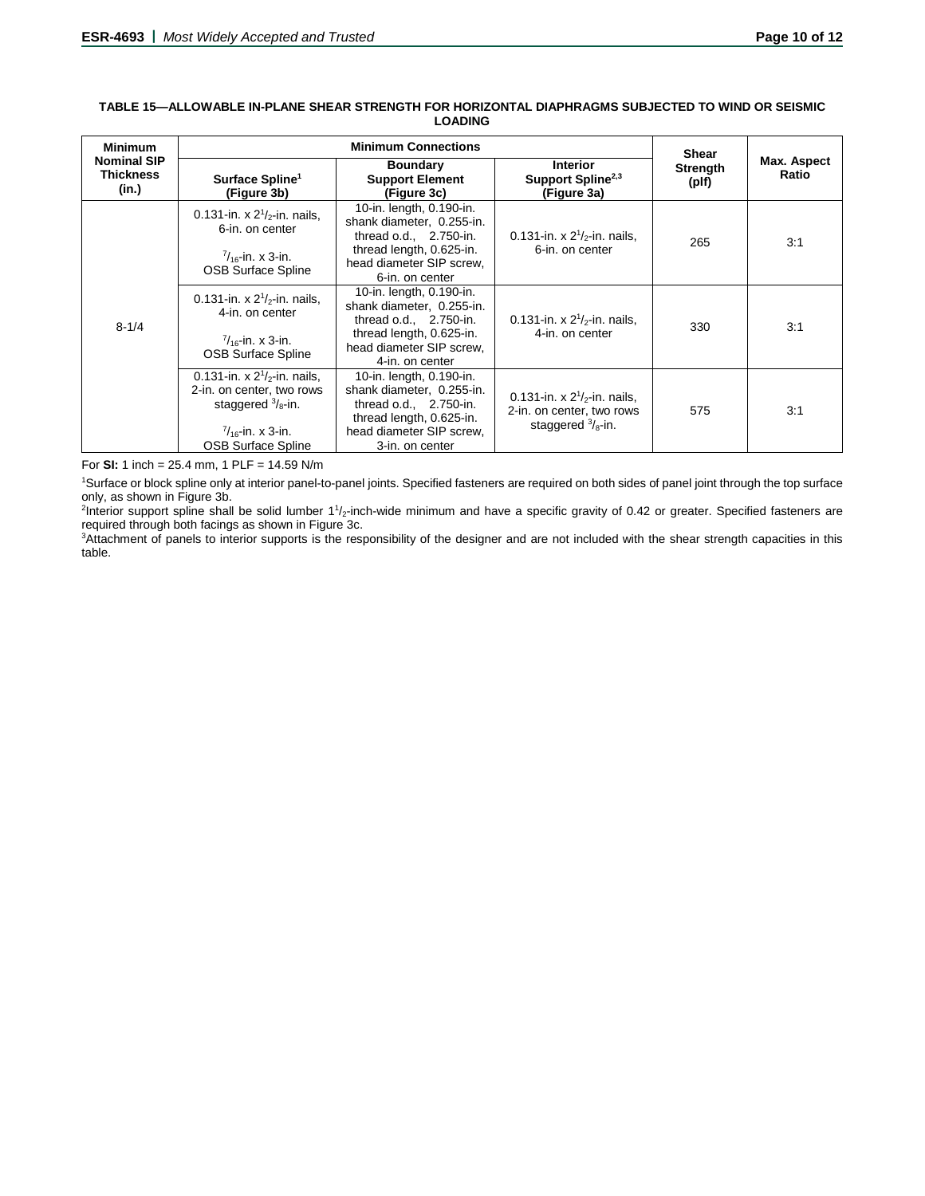| <b>Minimum</b>                                  | <b>Minimum Connections</b>                                                                                                                                 |                                                                                                                                                            |                                                                                                | <b>Shear</b>             |                      |
|-------------------------------------------------|------------------------------------------------------------------------------------------------------------------------------------------------------------|------------------------------------------------------------------------------------------------------------------------------------------------------------|------------------------------------------------------------------------------------------------|--------------------------|----------------------|
| <b>Nominal SIP</b><br><b>Thickness</b><br>(in.) | Surface Spline <sup>1</sup><br>(Figure 3b)                                                                                                                 | <b>Boundary</b><br><b>Support Element</b><br>(Figure 3c)                                                                                                   | <b>Interior</b><br>Support Spline <sup>2,3</sup><br>(Figure 3a)                                | <b>Strength</b><br>(plf) | Max. Aspect<br>Ratio |
| $8 - 1/4$                                       | 0.131-in. x $2^{1}/2$ -in. nails,<br>6-in, on center<br>$\frac{7}{16}$ -in. x 3-in.<br><b>OSB Surface Spline</b>                                           | 10-in. length, 0.190-in.<br>shank diameter, 0.255-in.<br>thread o.d., 2.750-in.<br>thread length, 0.625-in.<br>head diameter SIP screw,<br>6-in. on center | 0.131-in. x $2^{1}/2$ -in. nails,<br>6-in. on center                                           | 265                      | 3:1                  |
|                                                 | 0.131-in. x $2^{1}/2$ -in. nails,<br>4-in, on center<br>$\frac{7}{16}$ -in. x 3-in.<br><b>OSB Surface Spline</b>                                           | 10-in. length, 0.190-in.<br>shank diameter, 0.255-in.<br>thread o.d., 2.750-in.<br>thread length, 0.625-in.<br>head diameter SIP screw,<br>4-in, on center | 0.131-in. x $2^{1}/2$ -in. nails,<br>4-in, on center                                           | 330                      | 3:1                  |
|                                                 | 0.131-in. x $2^{1/2}$ -in. nails,<br>2-in. on center, two rows<br>staggered $\frac{3}{8}$ -in.<br>$\frac{7}{16}$ -in. x 3-in.<br><b>OSB Surface Spline</b> | 10-in. length, 0.190-in.<br>shank diameter, 0.255-in.<br>thread o.d., 2.750-in.<br>thread length, 0.625-in.<br>head diameter SIP screw,<br>3-in, on center | 0.131-in. x $2^{1/2}$ -in. nails.<br>2-in. on center, two rows<br>staggered $\frac{3}{8}$ -in. | 575                      | 3:1                  |

## **TABLE 15—ALLOWABLE IN-PLANE SHEAR STRENGTH FOR HORIZONTAL DIAPHRAGMS SUBJECTED TO WIND OR SEISMIC LOADING**

For **SI:** 1 inch = 25.4 mm, 1 PLF = 14.59 N/m

1 Surface or block spline only at interior panel-to-panel joints. Specified fasteners are required on both sides of panel joint through the top surface only, as shown in Figure 3b.

<sup>2</sup>Interior support spline shall be solid lumber 1<sup>1</sup>/<sub>2</sub>-inch-wide minimum and have a specific gravity of 0.42 or greater. Specified fasteners are required through both facings as shown in Figure 3c.

3 Attachment of panels to interior supports is the responsibility of the designer and are not included with the shear strength capacities in this table.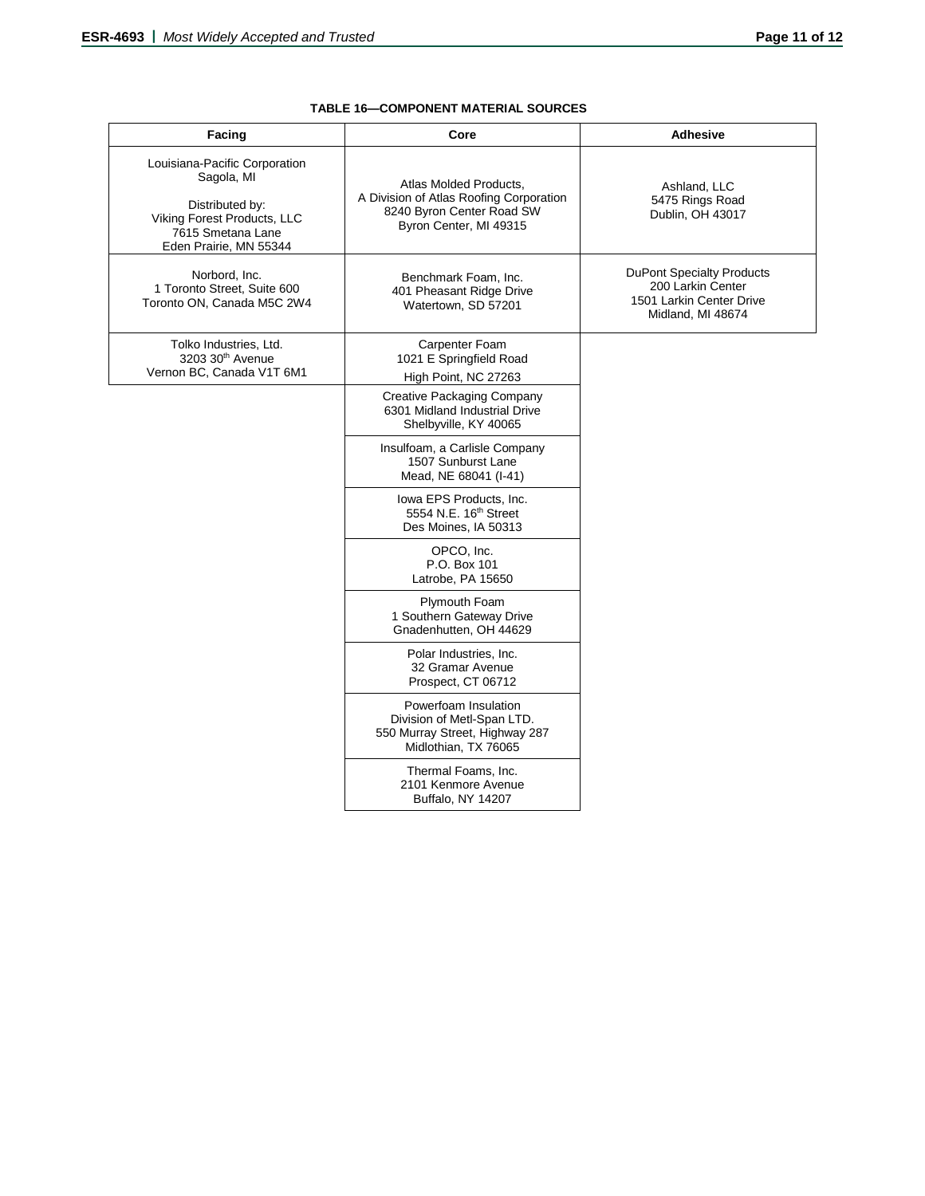| <b>Facing</b>                                                                                                                                | Core                                                                                                                     | <b>Adhesive</b>                                                                                        |
|----------------------------------------------------------------------------------------------------------------------------------------------|--------------------------------------------------------------------------------------------------------------------------|--------------------------------------------------------------------------------------------------------|
| Louisiana-Pacific Corporation<br>Sagola, MI<br>Distributed by:<br>Viking Forest Products, LLC<br>7615 Smetana Lane<br>Eden Prairie, MN 55344 | Atlas Molded Products,<br>A Division of Atlas Roofing Corporation<br>8240 Byron Center Road SW<br>Byron Center, MI 49315 | Ashland, LLC<br>5475 Rings Road<br>Dublin, OH 43017                                                    |
| Norbord, Inc.<br>1 Toronto Street, Suite 600<br>Toronto ON, Canada M5C 2W4                                                                   | Benchmark Foam, Inc.<br>401 Pheasant Ridge Drive<br>Watertown, SD 57201                                                  | <b>DuPont Specialty Products</b><br>200 Larkin Center<br>1501 Larkin Center Drive<br>Midland, MI 48674 |
| Tolko Industries, Ltd.<br>3203 30th Avenue<br>Vernon BC, Canada V1T 6M1                                                                      | Carpenter Foam<br>1021 E Springfield Road<br>High Point, NC 27263                                                        |                                                                                                        |
|                                                                                                                                              | Creative Packaging Company<br>6301 Midland Industrial Drive<br>Shelbyville, KY 40065                                     |                                                                                                        |
|                                                                                                                                              | Insulfoam, a Carlisle Company<br>1507 Sunburst Lane<br>Mead, NE 68041 (I-41)                                             |                                                                                                        |
|                                                                                                                                              | lowa EPS Products, Inc.<br>5554 N.E. 16 <sup>th</sup> Street<br>Des Moines, IA 50313                                     |                                                                                                        |
|                                                                                                                                              | OPCO, Inc.<br>P.O. Box 101<br>Latrobe, PA 15650                                                                          |                                                                                                        |
|                                                                                                                                              | Plymouth Foam<br>1 Southern Gateway Drive<br>Gnadenhutten, OH 44629                                                      |                                                                                                        |
|                                                                                                                                              | Polar Industries, Inc.<br>32 Gramar Avenue<br>Prospect, CT 06712                                                         |                                                                                                        |
|                                                                                                                                              | Powerfoam Insulation<br>Division of Metl-Span LTD.<br>550 Murray Street, Highway 287<br>Midlothian, TX 76065             |                                                                                                        |
|                                                                                                                                              | Thermal Foams, Inc.<br>2101 Kenmore Avenue<br>Buffalo, NY 14207                                                          |                                                                                                        |

## **TABLE 16—COMPONENT MATERIAL SOURCES**